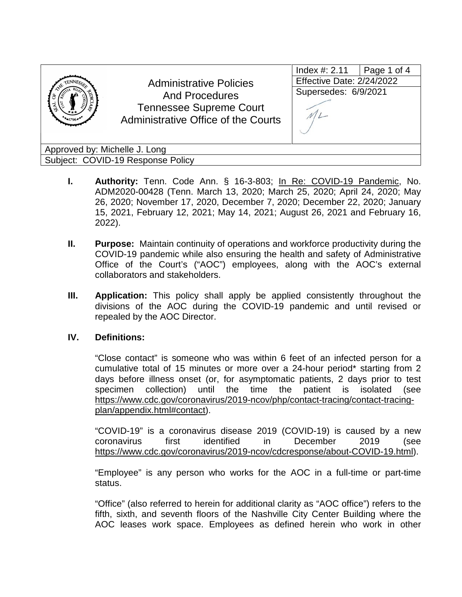

Administrative Policies And Procedures Tennessee Supreme Court Administrative Office of the Courts

| Index #: 2.11             | Page 1 of 4 |  |  |
|---------------------------|-------------|--|--|
| Effective Date: 2/24/2022 |             |  |  |
| Supersedes: 6/9/2021      |             |  |  |
|                           |             |  |  |

Approved by: Michelle J. Long Subject: COVID-19 Response Policy

- **I. Authority:** Tenn. Code Ann. § 16-3-803; In Re: COVID-19 Pandemic, No. ADM2020-00428 (Tenn. March 13, 2020; March 25, 2020; April 24, 2020; May 26, 2020; November 17, 2020, December 7, 2020; December 22, 2020; January 15, 2021, February 12, 2021; May 14, 2021; August 26, 2021 and February 16, 2022).
- **II. Purpose:** Maintain continuity of operations and workforce productivity during the COVID-19 pandemic while also ensuring the health and safety of Administrative Office of the Court's ("AOC") employees, along with the AOC's external collaborators and stakeholders.
- **III. Application:** This policy shall apply be applied consistently throughout the divisions of the AOC during the COVID-19 pandemic and until revised or repealed by the AOC Director.

## **IV. Definitions:**

"Close contact" is someone who was within 6 feet of an infected person for a cumulative total of 15 minutes or more over a 24-hour period\* starting from 2 days before illness onset (or, for asymptomatic patients, 2 days prior to test specimen collection) until the time the patient is isolated (see [https://www.cdc.gov/coronavirus/2019-ncov/php/contact-tracing/contact-tracing](https://www.cdc.gov/coronavirus/2019-ncov/php/contact-tracing/contact-tracing-plan/appendix.html#contact)[plan/appendix.html#contact\)](https://www.cdc.gov/coronavirus/2019-ncov/php/contact-tracing/contact-tracing-plan/appendix.html#contact).

"COVID-19" is a coronavirus disease 2019 (COVID-19) is caused by a new coronavirus first identified in December 2019 (see [https://www.cdc.gov/coronavirus/2019-ncov/cdcresponse/about-COVID-19.html\)](https://www.cdc.gov/coronavirus/2019-ncov/cdcresponse/about-COVID-19.html).

"Employee" is any person who works for the AOC in a full-time or part-time status.

"Office" (also referred to herein for additional clarity as "AOC office") refers to the fifth, sixth, and seventh floors of the Nashville City Center Building where the AOC leases work space. Employees as defined herein who work in other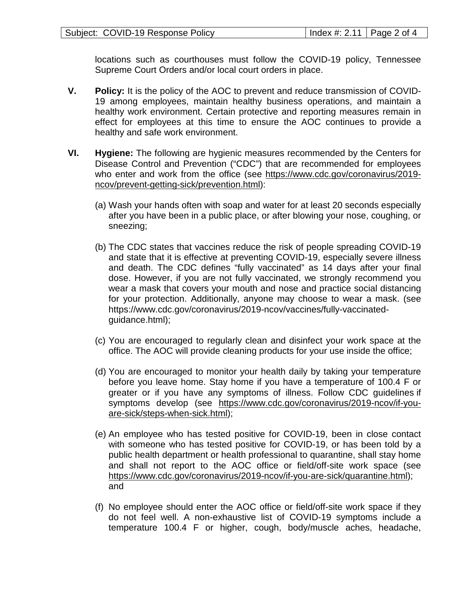locations such as courthouses must follow the COVID-19 policy, Tennessee Supreme Court Orders and/or local court orders in place.

- **V. Policy:** It is the policy of the AOC to prevent and reduce transmission of COVID-19 among employees, maintain healthy business operations, and maintain a healthy work environment. Certain protective and reporting measures remain in effect for employees at this time to ensure the AOC continues to provide a healthy and safe work environment.
- **VI. Hygiene:** The following are hygienic measures recommended by the Centers for Disease Control and Prevention ("CDC") that are recommended for employees who enter and work from the office (see [https://www.cdc.gov/coronavirus/2019](https://www.cdc.gov/coronavirus/2019-ncov/prevent-getting-sick/prevention.html) [ncov/prevent-getting-sick/prevention.html\)](https://www.cdc.gov/coronavirus/2019-ncov/prevent-getting-sick/prevention.html):
	- (a) Wash your hands often with soap and water for at least 20 seconds especially after you have been in a public place, or after blowing your nose, coughing, or sneezing;
	- (b) The CDC states that vaccines reduce the risk of people spreading COVID-19 and state that it is effective at preventing COVID-19, especially severe illness and death. The CDC defines "fully vaccinated" as 14 days after your final dose. However, if you are not fully vaccinated, we strongly recommend you wear a mask that covers your mouth and nose and practice social distancing for your protection. Additionally, anyone may choose to wear a mask. (see https://www.cdc.gov/coronavirus/2019-ncov/vaccines/fully-vaccinatedguidance.html);
	- (c) You are encouraged to regularly clean and disinfect your work space at the office. The AOC will provide cleaning products for your use inside the office;
	- (d) You are encouraged to monitor your health daily by taking your temperature before you leave home. Stay home if you have a temperature of 100.4 F or greater or if you have any symptoms of illness. Follow CDC guidelines if symptoms develop (see [https://www.cdc.gov/coronavirus/2019-ncov/if-you](https://www.cdc.gov/coronavirus/2019-ncov/if-you-are-sick/steps-when-sick.html)[are-sick/steps-when-sick.html\)](https://www.cdc.gov/coronavirus/2019-ncov/if-you-are-sick/steps-when-sick.html);
	- (e) An employee who has tested positive for COVID-19, been in close contact with someone who has tested positive for COVID-19, or has been told by a public health department or health professional to quarantine, shall stay home and shall not report to the AOC office or field/off-site work space (see [https://www.cdc.gov/coronavirus/2019-ncov/if-you-are-sick/quarantine.html\)](https://www.cdc.gov/coronavirus/2019-ncov/if-you-are-sick/quarantine.html); and
	- (f) No employee should enter the AOC office or field/off-site work space if they do not feel well. A non-exhaustive list of COVID-19 symptoms include a temperature 100.4 F or higher, cough, body/muscle aches, headache,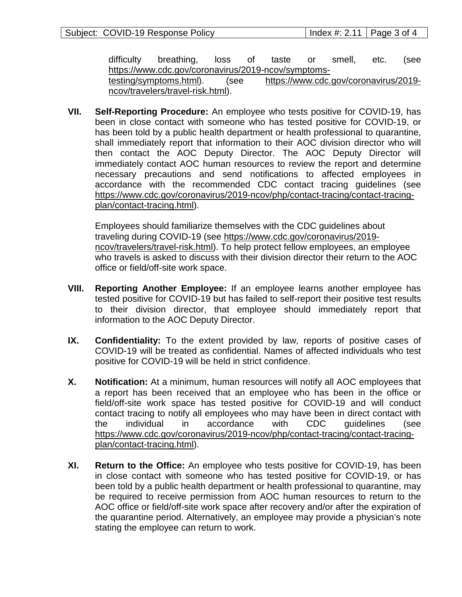| Subject: COVID-19 Response Policy | $\vert$ Index #: 2.11 $\vert$ Page 3 of 4 |  |
|-----------------------------------|-------------------------------------------|--|
|-----------------------------------|-------------------------------------------|--|

difficulty breathing, loss of taste or smell, etc. (see [https://www.cdc.gov/coronavirus/2019-ncov/symptoms-](https://www.cdc.gov/coronavirus/2019-ncov/symptoms-testing/symptoms.html)

[testing/symptoms.html\)](https://www.cdc.gov/coronavirus/2019-ncov/symptoms-testing/symptoms.html). (see [https://www.cdc.gov/coronavirus/2019](https://www.cdc.gov/coronavirus/2019-ncov/travelers/travel-risk.html) [ncov/travelers/travel-risk.html\)](https://www.cdc.gov/coronavirus/2019-ncov/travelers/travel-risk.html).

**VII. Self-Reporting Procedure:** An employee who tests positive for COVID-19, has been in close contact with someone who has tested positive for COVID-19, or has been told by a public health department or health professional to quarantine, shall immediately report that information to their AOC division director who will then contact the AOC Deputy Director. The AOC Deputy Director will immediately contact AOC human resources to review the report and determine necessary precautions and send notifications to affected employees in accordance with the recommended CDC contact tracing guidelines (see [https://www.cdc.gov/coronavirus/2019-ncov/php/contact-tracing/contact-tracing](https://www.cdc.gov/coronavirus/2019-ncov/php/contact-tracing/contact-tracing-plan/contact-tracing.html)[plan/contact-tracing.html\)](https://www.cdc.gov/coronavirus/2019-ncov/php/contact-tracing/contact-tracing-plan/contact-tracing.html).

Employees should familiarize themselves with the CDC guidelines about traveling during COVID-19 (see [https://www.cdc.gov/coronavirus/2019](https://www.cdc.gov/coronavirus/2019-ncov/travelers/travel-risk.html) [ncov/travelers/travel-risk.html\)](https://www.cdc.gov/coronavirus/2019-ncov/travelers/travel-risk.html). To help protect fellow employees, an employee who travels is asked to discuss with their division director their return to the AOC office or field/off-site work space.

- **VIII. Reporting Another Employee:** If an employee learns another employee has tested positive for COVID-19 but has failed to self-report their positive test results to their division director, that employee should immediately report that information to the AOC Deputy Director.
- **IX. Confidentiality:** To the extent provided by law, reports of positive cases of COVID-19 will be treated as confidential. Names of affected individuals who test positive for COVID-19 will be held in strict confidence.
- **X. Notification:** At a minimum, human resources will notify all AOC employees that a report has been received that an employee who has been in the office or field/off-site work space has tested positive for COVID-19 and will conduct contact tracing to notify all employees who may have been in direct contact with the individual in accordance with CDC guidelines (see [https://www.cdc.gov/coronavirus/2019-ncov/php/contact-tracing/contact-tracing](https://www.cdc.gov/coronavirus/2019-ncov/php/contact-tracing/contact-tracing-plan/contact-tracing.html)[plan/contact-tracing.html\)](https://www.cdc.gov/coronavirus/2019-ncov/php/contact-tracing/contact-tracing-plan/contact-tracing.html).
- **XI. Return to the Office:** An employee who tests positive for COVID-19, has been in close contact with someone who has tested positive for COVID-19, or has been told by a public health department or health professional to quarantine, may be required to receive permission from AOC human resources to return to the AOC office or field/off-site work space after recovery and/or after the expiration of the quarantine period. Alternatively, an employee may provide a physician's note stating the employee can return to work.